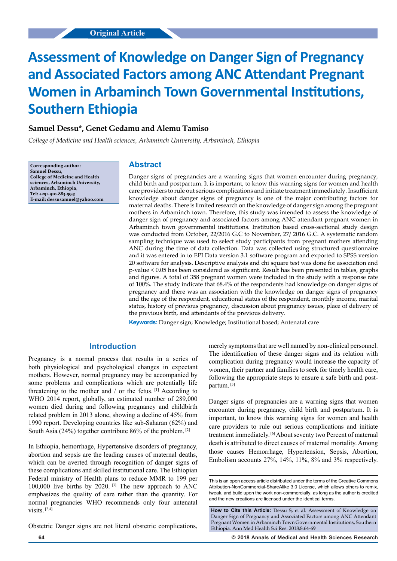# **Assessment of Knowledge on Danger Sign of Pregnancy and Associated Factors among ANC Attendant Pregnant Women in Arbaminch Town Governmental Institutions, Southern Ethiopia**

# **Samuel Dessu\*, Genet Gedamu and Alemu Tamiso**

*College of Medicine and Health sciences, Arbaminch University, Arbaminch, Ethiopia*

**Corresponding author: Samuel Dessu, College of Medicine and Health sciences, Arbaminch University, Arbaminch, Ethiopia, Tel: +251-910-883-594; E-mail: dessusamuel@yahoo.com**

## **Abstract**

Danger signs of pregnancies are a warning signs that women encounter during pregnancy, child birth and postpartum. It is important, to know this warning signs for women and health care providers to rule out serious complications and initiate treatment immediately. Insufficient knowledge about danger signs of pregnancy is one of the major contributing factors for maternal deaths. There is limited research on the knowledge of danger sign among the pregnant mothers in Arbaminch town. Therefore, this study was intended to assess the knowledge of danger sign of pregnancy and associated factors among ANC attendant pregnant women in Arbaminch town governmental institutions. Institution based cross-sectional study design was conducted from October, 22/2016 G.C to November, 27/ 2016 G.C. A systematic random sampling technique was used to select study participants from pregnant mothers attending ANC during the time of data collection. Data was collected using structured questionnaire and it was entered in to EPI Data version 3.1 software program and exported to SPSS version 20 software for analysis. Descriptive analysis and chi square test was done for association and p-value < 0.05 has been considered as significant. Result has been presented in tables, graphs and figures. A total of 358 pregnant women were included in the study with a response rate of 100%. The study indicate that 68.4% of the respondents had knowledge on danger signs of pregnancy and there was an association with the knowledge on danger signs of pregnancy and the age of the respondent, educational status of the respondent, monthly income, marital status, history of previous pregnancy, discussion about pregnancy issues, place of delivery of the previous birth, and attendants of the previous delivery.

**Keywords:** Danger sign; Knowledge; Institutional based; Antenatal care

# **Introduction**

Pregnancy is a normal process that results in a series of both physiological and psychological changes in expectant mothers. However, normal pregnancy may be accompanied by some problems and complications which are potentially life threatening to the mother and / or the fetus. [1] According to WHO 2014 report, globally, an estimated number of 289,000 women died during and following pregnancy and childbirth related problem in 2013 alone, showing a decline of 45% from 1990 report. Developing countries like sub-Saharan (62%) and South Asia (24%) together contribute  $86\%$  of the problem. <sup>[2]</sup>

In Ethiopia, hemorrhage, Hypertensive disorders of pregnancy, abortion and sepsis are the leading causes of maternal deaths, which can be averted through recognition of danger signs of these complications and skilled institutional care. The Ethiopian Federal ministry of Health plans to reduce MMR to 199 per 100,000 live births by 2020.  $[3]$  The new approach to ANC emphasizes the quality of care rather than the quantity. For normal pregnancies WHO recommends only four antenatal visits. [2,4]

Obstetric Danger signs are not literal obstetric complications,

merely symptoms that are well named by non-clinical personnel. The identification of these danger signs and its relation with complication during pregnancy would increase the capacity of women, their partner and families to seek for timely health care, following the appropriate steps to ensure a safe birth and postpartum. [5]

Danger signs of pregnancies are a warning signs that women encounter during pregnancy, child birth and postpartum. It is important, to know this warning signs for women and health care providers to rule out serious complications and initiate treatment immediately. [6] About seventy two Percent of maternal death is attributed to direct causes of maternal mortality. Among those causes Hemorrhage, Hypertension, Sepsis, Abortion, Embolism accounts 27%, 14%, 11%, 8% and 3% respectively.

**64 © 2018 Annals of Medical and Health Sciences Research** 

This is an open access article distributed under the terms of the Creative Commons Attribution‑NonCommercial‑ShareAlike 3.0 License, which allows others to remix tweak, and build upon the work non‑commercially, as long as the author is credited and the new creations are licensed under the identical terms.

How to Cite this Article: Dessu S, et al. Assessment of Knowledge on Danger Sign of Pregnancy and Associated Factors among ANC Attendant Pregnant Women in Arbaminch Town Governmental Institutions, Southern Ethiopia. Ann Med Health Sci Res. 2018;8:64-69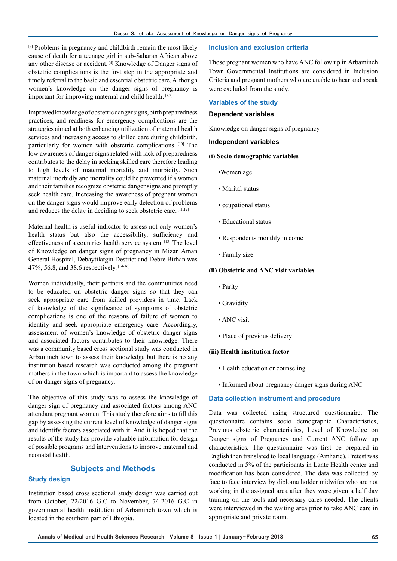[7] Problems in pregnancy and childbirth remain the most likely cause of death for a teenage girl in sub-Saharan African above any other disease or accident. [4] Knowledge of Danger signs of obstetric complications is the first step in the appropriate and timely referral to the basic and essential obstetric care. Although women's knowledge on the danger signs of pregnancy is important for improving maternal and child health. [8,9]

Improved knowledge of obstetric danger signs, birth preparedness practices, and readiness for emergency complications are the strategies aimed at both enhancing utilization of maternal health services and increasing access to skilled care during childbirth, particularly for women with obstetric complications. [10] The low awareness of danger signs related with lack of preparedness contributes to the delay in seeking skilled care therefore leading to high levels of maternal mortality and morbidity. Such maternal morbidly and mortality could be prevented if a women and their families recognize obstetric danger signs and promptly seek health care. Increasing the awareness of pregnant women on the danger signs would improve early detection of problems and reduces the delay in deciding to seek obstetric care. [11,12]

Maternal health is useful indicator to assess not only women's health status but also the accessibility, sufficiency and effectiveness of a countries health service system. [13] The level of Knowledge on danger signs of pregnancy in Mizan Aman General Hospital, Debaytilatgin Destrict and Debre Birhan was 47%, 56.8, and 38.6 respectively. [14-16]

Women individually, their partners and the communities need to be educated on obstetric danger signs so that they can seek appropriate care from skilled providers in time. Lack of knowledge of the significance of symptoms of obstetric complications is one of the reasons of failure of women to identify and seek appropriate emergency care. Accordingly, assessment of women's knowledge of obstetric danger signs and associated factors contributes to their knowledge. There was a community based cross sectional study was conducted in Arbaminch town to assess their knowledge but there is no any institution based research was conducted among the pregnant mothers in the town which is important to assess the knowledge of on danger signs of pregnancy.

The objective of this study was to assess the knowledge of danger sign of pregnancy and associated factors among ANC attendant pregnant women. This study therefore aims to fill this gap by assessing the current level of knowledge of danger signs and identify factors associated with it. And it is hoped that the results of the study has provide valuable information for design of possible programs and interventions to improve maternal and neonatal health.

## **Subjects and Methods**

## **Study design**

Institution based cross sectional study design was carried out from October, 22/2016 G.C to November, 7/ 2016 G.C in governmental health institution of Arbaminch town which is located in the southern part of Ethiopia.

## **Inclusion and exclusion criteria**

Those pregnant women who have ANC follow up in Arbaminch Town Governmental Institutions are considered in Inclusion Criteria and pregnant mothers who are unable to hear and speak were excluded from the study.

### **Variables of the study**

## **Dependent variables**

Knowledge on danger signs of pregnancy

## **Independent variables**

#### **(i) Socio demographic variables**

- •Women age
- Marital status
- ccupational status
- Educational status
- Respondents monthly in come
- Family size

#### **(ii) Obstetric and ANC visit variables**

- Parity
- Gravidity
- ANC visit
- Place of previous delivery

#### **(iii) Health institution factor**

- Health education or counseling
- Informed about pregnancy danger signs during ANC

#### **Data collection instrument and procedure**

Data was collected using structured questionnaire. The questionnaire contains socio demographic Characteristics, Previous obstetric characteristics, Level of Knowledge on Danger signs of Pregnancy and Current ANC follow up characteristics. The questionnaire was first be prepared in English then translated to local language (Amharic). Pretest was conducted in 5% of the participants in Lante Health center and modification has been considered. The data was collected by face to face interview by diploma holder midwifes who are not working in the assigned area after they were given a half day training on the tools and necessary cares needed. The clients were interviewed in the waiting area prior to take ANC care in appropriate and private room.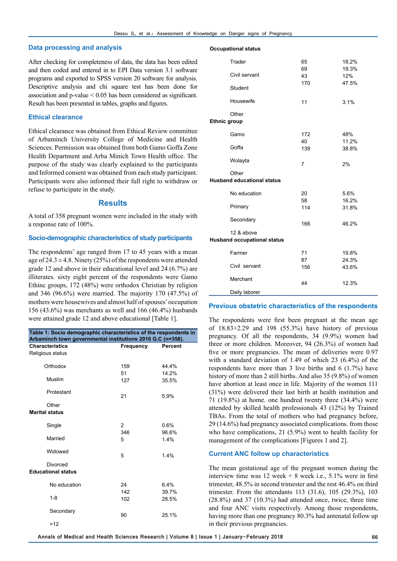#### **Data processing and analysis**

After checking for completeness of data, the data has been edited and then coded and entered in to EPI Data version 3.1 software programs and exported to SPSS version 20 software for analysis. Descriptive analysis and chi square test has been done for association and p-value < 0.05 has been considered as significant. Result has been presented in tables, graphs and figures.

#### **Ethical clearance**

Ethical clearance was obtained from Ethical Review committee of Arbaminch University College of Medicine and Health Sciences. Permission was obtained from both Gamo Goffa Zone Health Department and Arba Minich Town Health office. The purpose of the study was clearly explained to the participants and Informed consent was obtained from each study participant. Participants were also informed their full right to withdraw or refuse to participate in the study.

#### **Results**

A total of 358 pregnant women were included in the study with a response rate of 100%.

#### **Socio-demographic characteristics of study participants**

The respondents' age ranged from 17 to 45 years with a mean age of  $24.3 \pm 4.8$ . Ninety (25%) of the respondents were attended grade 12 and above in their educational level and 24 (6.7%) are illiterates. sixty eight percent of the respondents were Gamo Ethinc groups, 172 (48%) were orthodox Christian by religion and 346 (96.6%) were married. The majority 170 (47.5%) of mothers were housewives and almost half of spouses' occupation 156 (43.6%) was merchants as well and 166 (46.4%) husbands were attained grade 12 and above educational [Table 1].

| Table 1: Socio demographic characteristics of the respondents in<br>Arbaminch town governmental institutions 2016 G.C (n=358). |                |                |  |  |  |  |  |
|--------------------------------------------------------------------------------------------------------------------------------|----------------|----------------|--|--|--|--|--|
| <b>Characteristics</b>                                                                                                         | Frequency      | Percent        |  |  |  |  |  |
| Religious status                                                                                                               |                |                |  |  |  |  |  |
| Orthodox                                                                                                                       | 159            | 44.4%          |  |  |  |  |  |
| Muslim                                                                                                                         | 51<br>127      | 14.2%<br>35.5% |  |  |  |  |  |
| Protestant                                                                                                                     | 21             | 5.9%           |  |  |  |  |  |
| Other<br><b>Marital status</b>                                                                                                 |                |                |  |  |  |  |  |
|                                                                                                                                |                |                |  |  |  |  |  |
| Single                                                                                                                         | $\overline{2}$ | 0.6%           |  |  |  |  |  |
|                                                                                                                                | 346            | 96.6%          |  |  |  |  |  |
| Married                                                                                                                        | 5              | 1.4%           |  |  |  |  |  |
| Widowed                                                                                                                        | 5              | 1.4%           |  |  |  |  |  |
| Divorced<br><b>Educational status</b>                                                                                          |                |                |  |  |  |  |  |
| No education                                                                                                                   | 24             | 6.4%           |  |  |  |  |  |
|                                                                                                                                | 142            | 39.7%          |  |  |  |  |  |
| $1 - 8$                                                                                                                        | 102            | 28.5%          |  |  |  |  |  |
| Secondary                                                                                                                      | 90             | 25.1%          |  |  |  |  |  |
| >12                                                                                                                            |                |                |  |  |  |  |  |

#### **Occupational status**

| Trader                                           | 65<br>69  | 18.2%<br>19.3% |  |  |
|--------------------------------------------------|-----------|----------------|--|--|
| Civil servant                                    | 43        | 12%            |  |  |
| Student                                          | 170       | 47.5%          |  |  |
| Housewife                                        | 11        | 3.1%           |  |  |
| Other<br><b>Ethnic group</b>                     |           |                |  |  |
| Gamo                                             | 172       | 48%            |  |  |
| Goffa                                            | 40<br>139 | 11.2%<br>38.8% |  |  |
| Wolayta                                          | 7         | 2%             |  |  |
| Other<br><b>Husband educational status</b>       |           |                |  |  |
| No education                                     | 20<br>58  | 5.6%<br>16.2%  |  |  |
| Primary                                          | 114       | 31.8%          |  |  |
| Secondary                                        | 166       | 46.2%          |  |  |
| 12 & above<br><b>Husband occupational status</b> |           |                |  |  |
| Farmer                                           | 71        | 19.8%          |  |  |
| Civil servant                                    | 87<br>156 | 24.3%<br>43.6% |  |  |
| Merchant                                         | 44        | 12.3%          |  |  |
| Daily laborer                                    |           |                |  |  |

#### **Previous obstetric characteristics of the respondents**

The respondents were first been pregnant at the mean age of  $18.83+2.29$  and  $198$   $(55.3\%)$  have history of previous pregnancy. Of all the respondents, 34 (9.9%) women had three or more children. Moreover, 94 (26.3%) of women had five or more pregnancies. The mean of deliveries were 0.97 with a standard deviation of 1.49 of which 23 (6.4%) of the respondents have more than 3 live births and 6 (1.7%) have history of more than 2 still births. And also 35 (9.8%) of women have abortion at least once in life. Majority of the women 111 (31%) were delivered their last birth at health institution and 71 (19.8%) at home. one hundred twenty three (34.4%) were attended by skilled health professionals 43 (12%) by Trained TBAs. From the total of mothers who had pregnancy before, 29 (14.6%) had pregnancy associated complications. from those who have complications, 21 (5.9%) went to health facility for management of the complications [Figures 1 and 2].

#### **Current ANC follow up characteristics**

The mean gestational age of the pregnant women during the interview time was  $12$  week + 8 week i.e.,  $5.1\%$  were in first trimester, 48.5% in second trimester and the rest 46.4% on third trimester. From the attendants 113 (31.6), 105 (29.3%), 103 (28.8%) and 37 (10.3%) had attended once, twice, three time and four ANC visits respectively. Among those respondents, having more than one pregnancy 80.3% had antenatal follow up in their previous pregnancies.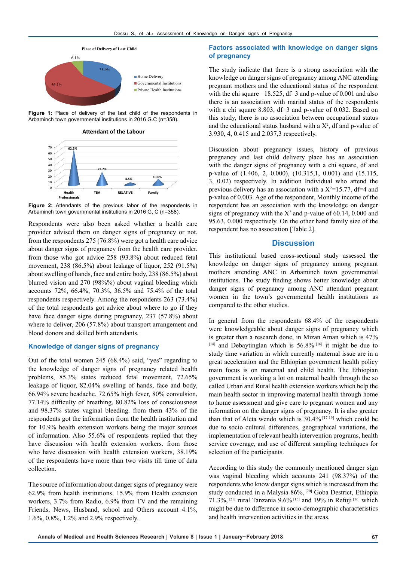

**Figure 1:** Place of delivery of the last child of the respondents in Arbaminch town governmental institutions in 2016 G.C (n=358).

**Attendant of the Labour**



**Figure 2:** Attendants of the previous labor of the respondents in Arbaminch town governmental institutions in 2016 G, C (n=358).

Respondents were also been asked whether a health care provider advised them on danger signs of pregnancy or not. from the respondents 275 (76.8%) were got a health care advice about danger signs of pregnancy from the health care provider. from those who got advice 258 (93.8%) about reduced fetal movement, 238 (86.5%) about leakage of liquor, 252 (91.5%) about swelling of hands, face and entire body, 238 (86.5%) about blurred vision and 270 (98%%) about vaginal bleeding which accounts 72%, 66.4%, 70.3%, 36.5% and 75.4% of the total respondents respectively. Among the respondents 263 (73.4%) of the total respondents got advice about where to go if they have face danger signs during pregnancy, 237 (57.8%) about where to deliver, 206 (57.8%) about transport arrangement and blood donors and skilled birth attendants.

## **Knowledge of danger signs of pregnancy**

Out of the total women 245 (68.4%) said, "yes" regarding to the knowledge of danger signs of pregnancy related health problems, 85.3% states reduced fetal movement, 72.65% leakage of liquor, 82.04% swelling of hands, face and body, 66.94% severe headache. 72.65% high fever, 80% convulsion, 77.14% difficulty of breathing, 80.82% loss of consciousness and 98.37% states vaginal bleeding. from them 43% of the respondents got the information from the health institution and for 10.9% health extension workers being the major sources of information. Also 55.6% of respondents replied that they have discussion with health extension workers. from those who have discussion with health extension workers, 38.19% of the respondents have more than two visits till time of data collection.

The source of information about danger signs of pregnancy were 62.9% from health institutions, 15.9% from Health extension workers, 3.7% from Radio, 6.9% from TV and the remaining Friends, News, Husband, school and Others account 4.1%, 1.6%, 0.8%, 1.2% and 2.9% respectively.

## **Factors associated with knowledge on danger signs of pregnancy**

The study indicate that there is a strong association with the knowledge on danger signs of pregnancy among ANC attending pregnant mothers and the educational status of the respondent with the chi square =18.525,  $df=3$  and p-value of 0.001 and also there is an association with marital status of the respondents with a chi square 8.803,  $df=3$  and p-value of 0.032. Based on this study, there is no association between occupational status and the educational status husband with a  $X^2$ , df and p-value of 3.930, 4, 0.415 and 2.037,3 respectively.

Discussion about pregnancy issues, history of previous pregnancy and last child delivery place has an association with the danger signs of pregnancy with a chi square, df and p-value of (1.406, 2, 0.000), (10.315,1, 0.001) and (15.115, 3, 0.02) respectively. In addition Individual who attend the previous delivery has an association with a  $X^2=15.77$ , df=4 and p-value of 0.003. Age of the respondent, Monthly income of the respondent has an association with the knowledge on danger signs of pregnancy with the  $X^2$  and p-value of 60.14, 0.000 and 95.63, 0.000 respectively. On the other hand family size of the respondent has no association [Table 2].

## **Discussion**

This institutional based cross-sectional study assessed the knowledge on danger signs of pregnancy among pregnant mothers attending ANC in Arbaminch town governmental institutions. The study finding shows better knowledge about danger signs of pregnancy among ANC attendant pregnant women in the town's governmental health institutions as compared to the other studies.

In general from the respondents 68.4% of the respondents were knowledgeable about danger signs of pregnancy which is greater than a research done, in Mizan Aman which is 47% [14] and Debaytinglan which is 56.8% [16] it might be due to study time variation in which currently maternal issue are in a great acceleration and the Ethiopian government health policy main focus is on maternal and child health. The Ethiopian government is working a lot on maternal health through the so called Urban and Rural health extension workers which help the main health sector in improving maternal health through home to home assessment and give care to pregnant women and any information on the danger signs of pregnancy. It is also greater than that of Aleta wendo which is 30.4% [17-19] which could be due to socio cultural differences, geographical variations, the implementation of relevant health intervention programs, health service coverage, and use of different sampling techniques for selection of the participants.

According to this study the commonly mentioned danger sign was vaginal bleeding which accounts 241 (98.37%) of the respondents who know danger signs which is increased from the study conducted in a Malysia 86%, [20] Goba Destrict, Ethiopia 71.3%, [21] rural Tanzania 9.6% [15] and 19% in Refuji [16] which might be due to difference in socio-demographic characteristics and health intervention activities in the areas.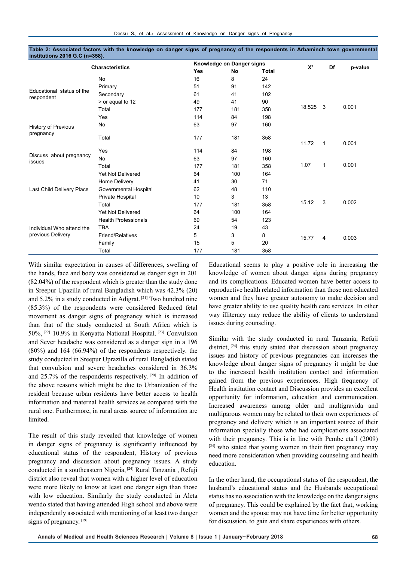|                                                | <b>Characteristics</b>      | Knowledge on Danger signs |     |       | $X^2$  | Df                      |         |
|------------------------------------------------|-----------------------------|---------------------------|-----|-------|--------|-------------------------|---------|
|                                                |                             | <b>Yes</b>                | No  | Total |        |                         | p-value |
| Educational status of the<br>respondent        | No                          | 16                        | 8   | 24    |        |                         | 0.001   |
|                                                | Primary                     | 51                        | 91  | 142   |        | $\overline{\mathbf{3}}$ |         |
|                                                | Secondary                   | 61                        | 41  | 102   |        |                         |         |
|                                                | > or equal to 12            | 49                        | 41  | 90    |        |                         |         |
|                                                | Total                       | 177                       | 181 | 358   | 18.525 |                         |         |
| History of Previous<br>pregnancy               | Yes                         | 114                       | 84  | 198   |        |                         |         |
|                                                | No                          | 63                        | 97  | 160   |        |                         |         |
|                                                | Total                       | 177                       | 181 | 358   | 11.72  | $\mathbf{1}$            | 0.001   |
|                                                | Yes                         | 114                       | 84  | 198   |        |                         |         |
| Discuss about pregnancy<br>issues              | No                          | 63                        | 97  | 160   |        | $\mathbf{1}$            | 0.001   |
|                                                | Total                       | 177                       | 181 | 358   | 1.07   |                         |         |
| Last Child Delivery Place                      | <b>Yet Not Delivered</b>    | 64                        | 100 | 164   |        |                         |         |
|                                                | Home Delivery               | 41                        | 30  | 71    |        |                         |         |
|                                                | Governmental Hospital       | 62                        | 48  | 110   |        |                         |         |
|                                                | Private Hospital            | 10                        | 3   | 13    |        | 3                       | 0.002   |
|                                                | Total                       | 177                       | 181 | 358   | 15.12  |                         |         |
| Individual Who attend the<br>previous Delivery | Yet Not Delivered           | 64                        | 100 | 164   |        |                         |         |
|                                                | <b>Health Professionals</b> | 69                        | 54  | 123   |        |                         | 0.003   |
|                                                | <b>TBA</b>                  | 24                        | 19  | 43    |        |                         |         |
|                                                | Friend/Relatives            | 5                         | 3   | 8     | 15.77  | 4                       |         |
|                                                | Family                      | 15                        | 5   | 20    |        |                         |         |
|                                                | Total                       | 177                       | 181 | 358   |        |                         |         |

**Table 2: Associated factors with the knowledge on danger signs of pregnancy of the respondents in Arbaminch town governmental institutions 2016 G.C (n=358).**

With similar expectation in causes of differences, swelling of the hands, face and body was considered as danger sign in 201 (82.04%) of the respondent which is greater than the study done in Sreepur Upazilla of rural Bangladish which was 42.3% (20) and 5.2% in a study conducted in Adigrat. [21] Two hundred nine (85.3%) of the respondents were considered Reduced fetal movement as danger signs of pregnancy which is increased than that of the study conducted at South Africa which is 50%, [22] 10.9% in Kenyatta National Hospital. [23] Convulsion and Sever headache was considered as a danger sign in a 196 (80%) and 164 (66.94%) of the respondents respectively. the study conducted in Sreepur Uprazilla of rural Bangladish stated that convulsion and severe headaches considered in 36.3% and 25.7% of the respondents respectively. [20] In addition of the above reasons which might be due to Urbanization of the resident because urban residents have better access to health information and maternal health services as compared with the rural one. Furthermore, in rural areas source of information are limited.

The result of this study revealed that knowledge of women in danger signs of pregnancy is significantly influenced by educational status of the respondent, History of previous pregnancy and discussion about pregnancy issues. A study conducted in a southeastern Nigeria, [24] Rural Tanzania , Refuji district also reveal that women with a higher level of education were more likely to know at least one danger sign than those with low education. Similarly the study conducted in Aleta wendo stated that having attended High school and above were independently associated with mentioning of at least two danger signs of pregnancy. [19]

Educational seems to play a positive role in increasing the knowledge of women about danger signs during pregnancy and its complications. Educated women have better access to reproductive health related information than those non educated women and they have greater autonomy to make decision and have greater ability to use quality health care services. In other way illiteracy may reduce the ability of clients to understand issues during counseling.

Similar with the study conducted in rural Tanzania, Refuji district, <sup>[24]</sup> this study stated that discussion about pregnancy issues and history of previous pregnancies can increases the knowledge about danger signs of pregnancy it might be due to the increased health institution contact and information gained from the previous experiences. High frequency of Health institution contact and Discussion provides an excellent opportunity for information, education and communication. Increased awareness among older and multigravida and multiparous women may be related to their own experiences of pregnancy and delivery which is an important source of their information specially those who had complications associated with their pregnancy. This is in line with Pembe eta'l (2009) [24] who stated that young women in their first pregnancy may need more consideration when providing counseling and health education.

In the other hand, the occupational status of the respondent, the husband's educational status and the Husbands occupational status has no association with the knowledge on the danger signs of pregnancy. This could be explained by the fact that, working women and the spouse may not have time for better opportunity for discussion, to gain and share experiences with others.